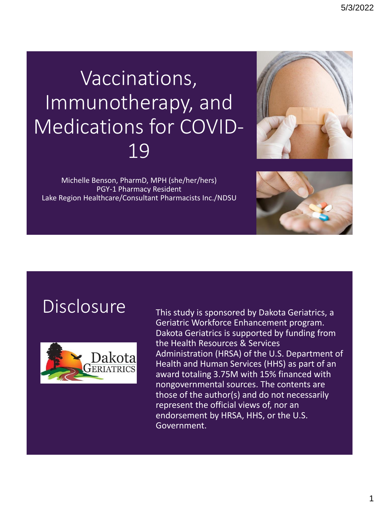# Vaccinations, Immunotherapy, and Medications for COVID-19



Michelle Benson, PharmD, MPH (she/her/hers) PGY-1 Pharmacy Resident Lake Region Healthcare/Consultant Pharmacists Inc./NDSU



#### Disclosure This study is sponsored by Dakota Geriatrics, a



Geriatric Workforce Enhancement program. Dakota Geriatrics is supported by funding from the Health Resources & Services Administration (HRSA) of the U.S. Department of Health and Human Services (HHS) as part of an award totaling 3.75M with 15% financed with nongovernmental sources. The contents are those of the author(s) and do not necessarily represent the official views of, nor an endorsement by HRSA, HHS, or the U.S. Government.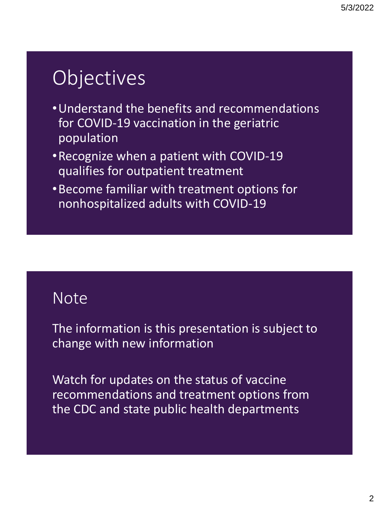# **Objectives**

- •Understand the benefits and recommendations for COVID-19 vaccination in the geriatric population
- •Recognize when a patient with COVID-19 qualifies for outpatient treatment
- •Become familiar with treatment options for nonhospitalized adults with COVID-19

#### **Note**

The information is this presentation is subject to change with new information

Watch for updates on the status of vaccine recommendations and treatment options from the CDC and state public health departments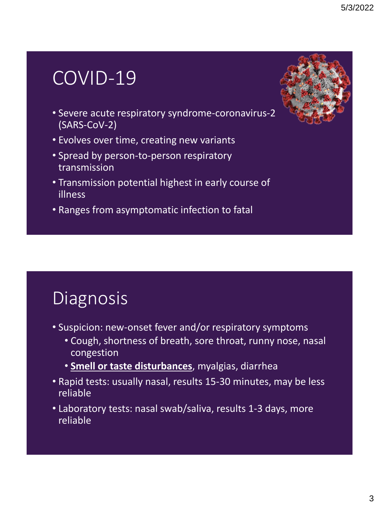### COVID-19

- Severe acute respiratory syndrome-coronavirus-2 (SARS-CoV-2)
- Evolves over time, creating new variants
- Spread by person-to-person respiratory transmission
- Transmission potential highest in early course of illness
- Ranges from asymptomatic infection to fatal

### Diagnosis

- Suspicion: new-onset fever and/or respiratory symptoms
	- Cough, shortness of breath, sore throat, runny nose, nasal congestion
	- **Smell or taste disturbances**, myalgias, diarrhea
- Rapid tests: usually nasal, results 15-30 minutes, may be less reliable
- Laboratory tests: nasal swab/saliva, results 1-3 days, more reliable

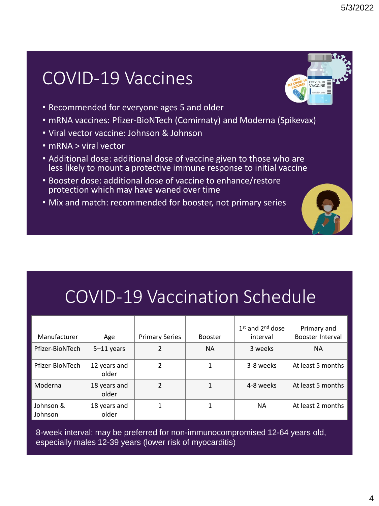#### COVID-19 Vaccines

- Recommended for everyone ages 5 and older
- mRNA vaccines: Pfizer-BioNTech (Comirnaty) and Moderna (Spikevax)
- Viral vector vaccine: Johnson & Johnson
- mRNA > viral vector
- Additional dose: additional dose of vaccine given to those who are less likely to mount a protective immune response to initial vaccine
- Booster dose: additional dose of vaccine to enhance/restore protection which may have waned over time
- Mix and match: recommended for booster, not primary series

#### COVID-19 Vaccination Schedule

| Manufacturer         | Age                   | <b>Primary Series</b> | <b>Booster</b> | $1st$ and $2nd$ dose<br>interval | Primary and<br><b>Booster Interval</b> |
|----------------------|-----------------------|-----------------------|----------------|----------------------------------|----------------------------------------|
| Pfizer-BioNTech      | $5-11$ years          | 2                     | <b>NA</b>      | 3 weeks                          | <b>NA</b>                              |
| Pfizer-BioNTech      | 12 years and<br>older | 2                     | 1              | 3-8 weeks                        | At least 5 months                      |
| Moderna              | 18 years and<br>older | $\mathfrak z$         |                | 4-8 weeks                        | At least 5 months                      |
| Johnson &<br>Johnson | 18 years and<br>older |                       |                | ΝA                               | At least 2 months                      |

8-week interval: may be preferred for non-immunocompromised 12-64 years old, especially males 12-39 years (lower risk of myocarditis)

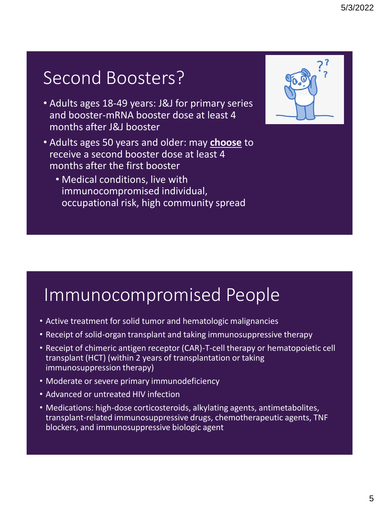### Second Boosters?

- Adults ages 18-49 years: J&J for primary series and booster-mRNA booster dose at least 4 months after J&J booster
- Adults ages 50 years and older: may **choose** to receive a second booster dose at least 4 months after the first booster
	- Medical conditions, live with immunocompromised individual, occupational risk, high community spread



#### Immunocompromised People

- Active treatment for solid tumor and hematologic malignancies
- Receipt of solid-organ transplant and taking immunosuppressive therapy
- Receipt of chimeric antigen receptor (CAR)-T-cell therapy or hematopoietic cell transplant (HCT) (within 2 years of transplantation or taking immunosuppression therapy)
- Moderate or severe primary immunodeficiency
- Advanced or untreated HIV infection
- Medications: high-dose corticosteroids, alkylating agents, antimetabolites, transplant-related immunosuppressive drugs, chemotherapeutic agents, TNF blockers, and immunosuppressive biologic agent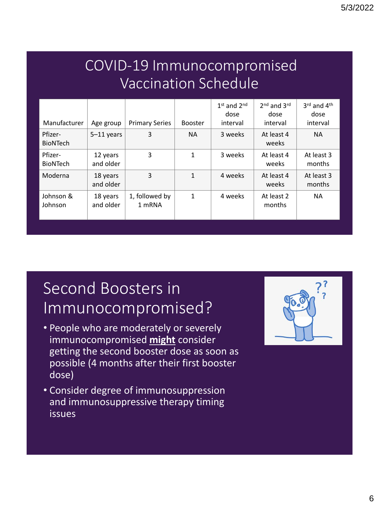#### COVID-19 Immunocompromised Vaccination Schedule

| Manufacturer               | Age group             | <b>Primary Series</b>    | <b>Booster</b> | $1st$ and $2nd$<br>dose<br>interval | 2 <sup>nd</sup> and 3rd<br>dose<br>interval | 3rd and 4th<br>dose<br>interval |
|----------------------------|-----------------------|--------------------------|----------------|-------------------------------------|---------------------------------------------|---------------------------------|
| Pfizer-<br><b>BioNTech</b> | $5-11$ years          | 3                        | <b>NA</b>      | 3 weeks                             | At least 4<br>weeks                         | <b>NA</b>                       |
| Pfizer-<br><b>BioNTech</b> | 12 years<br>and older | 3                        | $\mathbf{1}$   | 3 weeks                             | At least 4<br>weeks                         | At least 3<br>months            |
| Moderna                    | 18 years<br>and older | 3                        | $\mathbf{1}$   | 4 weeks                             | At least 4<br>weeks                         | At least 3<br>months            |
| Johnson &<br>Johnson       | 18 years<br>and older | 1, followed by<br>1 mRNA | 1              | 4 weeks                             | At least 2<br>months                        | <b>NA</b>                       |

#### Second Boosters in Immunocompromised?

- People who are moderately or severely immunocompromised **might** consider getting the second booster dose as soon as possible (4 months after their first booster dose)
- Consider degree of immunosuppression and immunosuppressive therapy timing issues

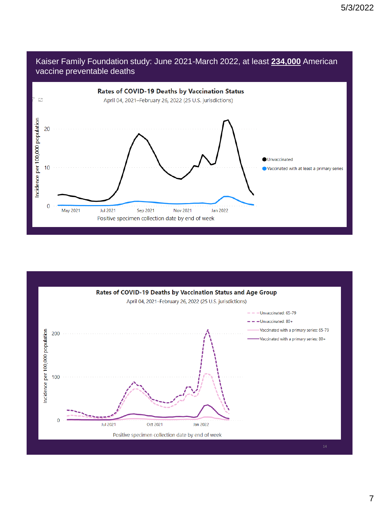



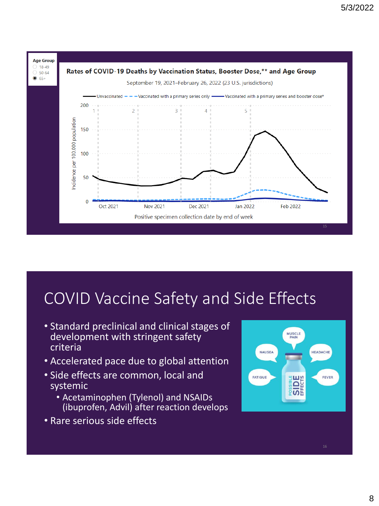

#### COVID Vaccine Safety and Side Effects

- Standard preclinical and clinical stages of development with stringent safety criteria
- Accelerated pace due to global attention
- Side effects are common, local and systemic
	- Acetaminophen (Tylenol) and NSAIDs (ibuprofen, Advil) after reaction develops
- Rare serious side effects

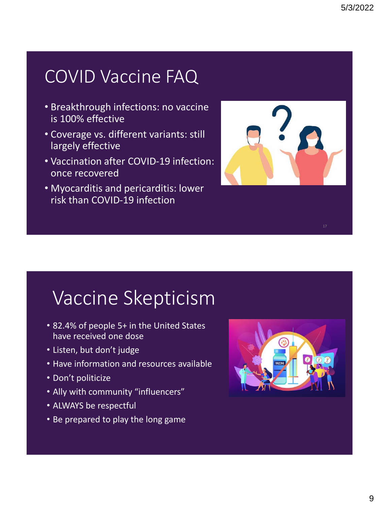### COVID Vaccine FAQ

- Breakthrough infections: no vaccine is 100% effective
- Coverage vs. different variants: still largely effective
- Vaccination after COVID-19 infection: once recovered
- Myocarditis and pericarditis: lower risk than COVID-19 infection



### Vaccine Skepticism

- 82.4% of people 5+ in the United States have received one dose
- Listen, but don't judge
- Have information and resources available
- Don't politicize
- Ally with community "influencers"
- ALWAYS be respectful
- Be prepared to play the long game

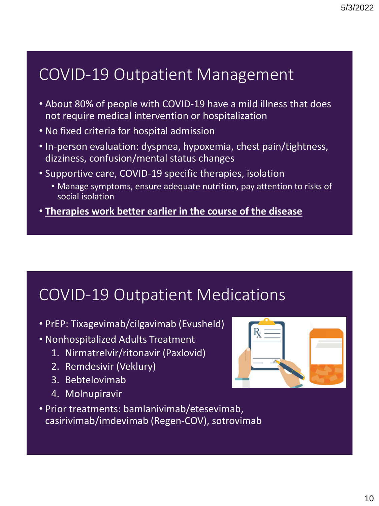#### COVID-19 Outpatient Management

- About 80% of people with COVID-19 have a mild illness that does not require medical intervention or hospitalization
- No fixed criteria for hospital admission
- In-person evaluation: dyspnea, hypoxemia, chest pain/tightness, dizziness, confusion/mental status changes
- Supportive care, COVID-19 specific therapies, isolation
	- Manage symptoms, ensure adequate nutrition, pay attention to risks of social isolation
- **Therapies work better earlier in the course of the disease**

#### COVID-19 Outpatient Medications

- PrEP: Tixagevimab/cilgavimab (Evusheld)
- Nonhospitalized Adults Treatment
	- 1. Nirmatrelvir/ritonavir (Paxlovid)
	- 2. Remdesivir (Veklury)
	- 3. Bebtelovimab
	- 4. Molnupiravir



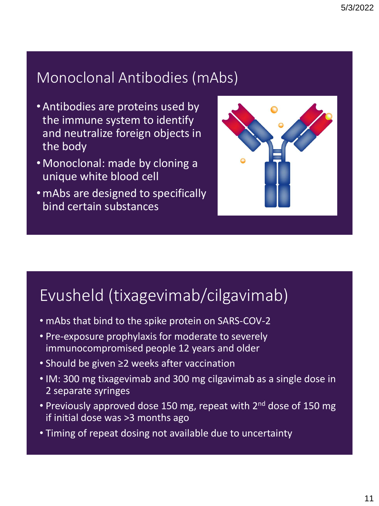#### Monoclonal Antibodies (mAbs)

- Antibodies are proteins used by the immune system to identify and neutralize foreign objects in the body
- Monoclonal: made by cloning a unique white blood cell
- •mAbs are designed to specifically bind certain substances



#### Evusheld (tixagevimab/cilgavimab)

- mAbs that bind to the spike protein on SARS-COV-2
- Pre-exposure prophylaxis for moderate to severely immunocompromised people 12 years and older
- Should be given ≥2 weeks after vaccination
- IM: 300 mg tixagevimab and 300 mg cilgavimab as a single dose in 2 separate syringes
- Previously approved dose 150 mg, repeat with 2<sup>nd</sup> dose of 150 mg if initial dose was >3 months ago
- Timing of repeat dosing not available due to uncertainty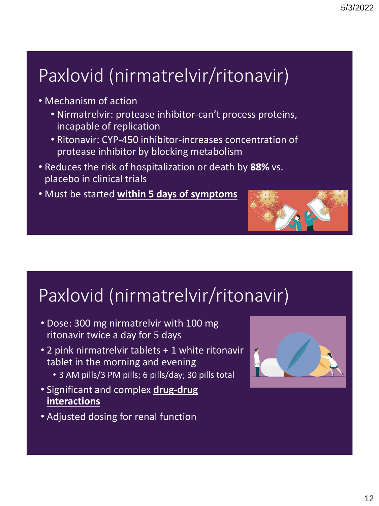## Paxlovid (nirmatrelvir/ritonavir)

- Mechanism of action
	- Nirmatrelvir: protease inhibitor-can't process proteins, incapable of replication
	- Ritonavir: CYP-450 inhibitor-increases concentration of protease inhibitor by blocking metabolism
- Reduces the risk of hospitalization or death by **88%** vs. placebo in clinical trials
- Must be started **within 5 days of symptoms**



### Paxlovid (nirmatrelvir/ritonavir)

- Dose: 300 mg nirmatrelvir with 100 mg ritonavir twice a day for 5 days
- 2 pink nirmatrelvir tablets + 1 white ritonavir tablet in the morning and evening
	- 3 AM pills/3 PM pills; 6 pills/day; 30 pills total
- Significant and complex **drug-drug interactions**
- Adjusted dosing for renal function

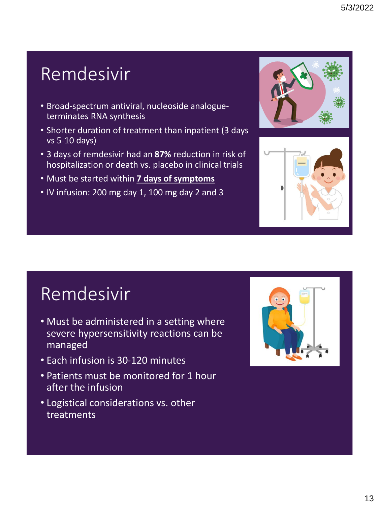### Remdesivir

- Broad-spectrum antiviral, nucleoside analogueterminates RNA synthesis
- Shorter duration of treatment than inpatient (3 days vs 5-10 days)
- 3 days of remdesivir had an **87%** reduction in risk of hospitalization or death vs. placebo in clinical trials
- Must be started within **7 days of symptoms**
- IV infusion: 200 mg day 1, 100 mg day 2 and 3





### Remdesivir

- Must be administered in a setting where severe hypersensitivity reactions can be managed
- Each infusion is 30-120 minutes
- Patients must be monitored for 1 hour after the infusion
- Logistical considerations vs. other treatments

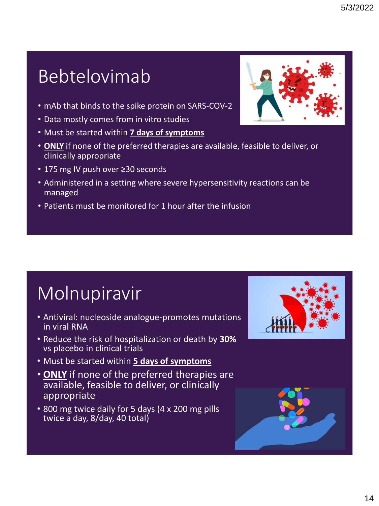### Bebtelovimab

- mAb that binds to the spike protein on SARS-COV-2
- Data mostly comes from in vitro studies
- Must be started within **7 days of symptoms**
- **ONLY** if none of the preferred therapies are available, feasible to deliver, or clinically appropriate
- 175 mg IV push over ≥30 seconds
- Administered in a setting where severe hypersensitivity reactions can be managed
- Patients must be monitored for 1 hour after the infusion

# **Molnupiravir**

- Antiviral: nucleoside analogue-promotes mutations in viral RNA
- Reduce the risk of hospitalization or death by **30%**  vs placebo in clinical trials
- Must be started within **5 days of symptoms**
- **ONLY** if none of the preferred therapies are available, feasible to deliver, or clinically appropriate
- 800 mg twice daily for 5 days (4 x 200 mg pills twice a day, 8/day, 40 total)



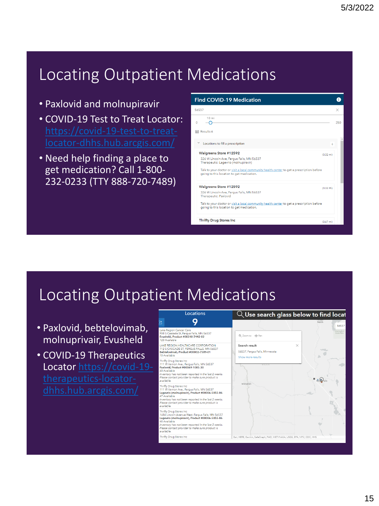#### Locating Outpatient Medications

- Paxlovid and molnupiravir
- COVID-19 Test to Treat Locator:
- Need help finding a place to get medication? Call 1-800- 232-0233 (TTY 888-720-7489)

| <b>Find COVID-19 Medication</b>                                                                                                                                                                                                                                              |     |
|------------------------------------------------------------------------------------------------------------------------------------------------------------------------------------------------------------------------------------------------------------------------------|-----|
| 56537                                                                                                                                                                                                                                                                        | ×   |
| $10 \, \text{mi}$<br>0<br><b>田 Results:6</b>                                                                                                                                                                                                                                 | 250 |
| $\checkmark$<br>Locations to fill a prescription                                                                                                                                                                                                                             | 6   |
| Walgreens Store #12592<br>$(0.32 \text{ mi})$<br>326 W Lincoln Ave. Fergus Falls, MN 56537<br>Therapeutic: Lagevrio (molnupiravir)<br>Talk to your doctor or visit a local community health center to get a prescription before<br>going to this location to get medication. |     |
| Walgreens Store #12592<br>$(0.32 \text{ mi})$<br>326 W Lincoln Ave, Fergus Falls, MN 56537<br><b>Therapeutic: Paxlovid</b><br>Talk to your doctor or visit a local community health center to get a prescription before<br>going to this location to get medication.         |     |
| <b>Thrifty Drug Stores Inc</b><br>$(0.67 \text{ mi})$                                                                                                                                                                                                                        |     |

#### Locating Outpatient Medications

- Paxlovid, bebtelovimab, molnuprivair, Evusheld
- COVID-19 Therapeutics [Locator https://covid-19-](https://covid-19-therapeutics-locator-dhhs.hub.arcgis.com/)

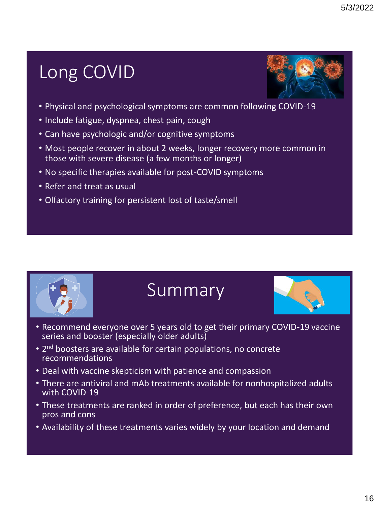### Long COVID



- Physical and psychological symptoms are common following COVID-19
- Include fatigue, dyspnea, chest pain, cough
- Can have psychologic and/or cognitive symptoms
- Most people recover in about 2 weeks, longer recovery more common in those with severe disease (a few months or longer)
- No specific therapies available for post-COVID symptoms
- Refer and treat as usual
- Olfactory training for persistent lost of taste/smell



#### Summary



- Recommend everyone over 5 years old to get their primary COVID-19 vaccine series and booster (especially older adults)
- 2<sup>nd</sup> boosters are available for certain populations, no concrete recommendations
- Deal with vaccine skepticism with patience and compassion
- There are antiviral and mAb treatments available for nonhospitalized adults with COVID-19
- These treatments are ranked in order of preference, but each has their own pros and cons
- Availability of these treatments varies widely by your location and demand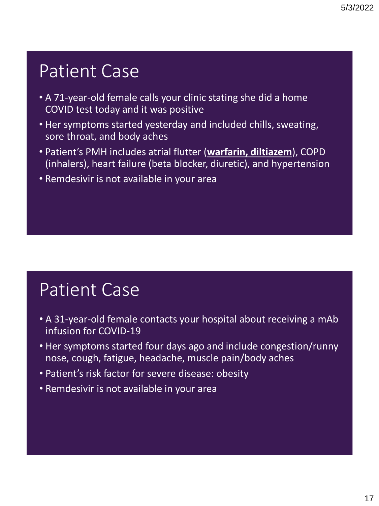### Patient Case

- A 71-year-old female calls your clinic stating she did a home COVID test today and it was positive
- Her symptoms started yesterday and included chills, sweating, sore throat, and body aches
- Patient's PMH includes atrial flutter (**warfarin, diltiazem**), COPD (inhalers), heart failure (beta blocker, diuretic), and hypertension
- Remdesivir is not available in your area

### Patient Case

- A 31-year-old female contacts your hospital about receiving a mAb infusion for COVID-19
- Her symptoms started four days ago and include congestion/runny nose, cough, fatigue, headache, muscle pain/body aches
- Patient's risk factor for severe disease: obesity
- Remdesivir is not available in your area